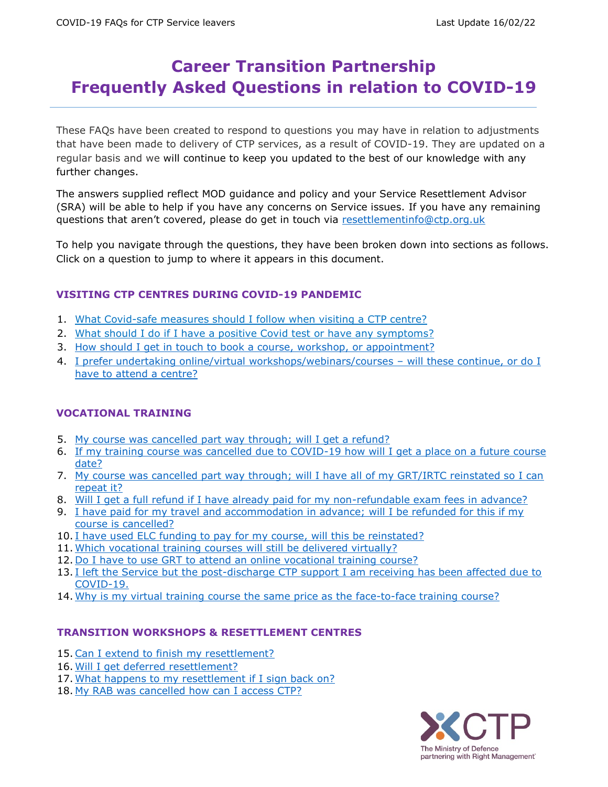## **Career Transition Partnership Frequently Asked Questions in relation to COVID-19**

These FAQs have been created to respond to questions you may have in relation to adjustments that have been made to delivery of CTP services, as a result of COVID-19. They are updated on a regular basis and we will continue to keep you updated to the best of our knowledge with any further changes.

The answers supplied reflect MOD guidance and policy and your Service Resettlement Advisor (SRA) will be able to help if you have any concerns on Service issues. If you have any remaining questions that aren't covered, please do get in touch via [resettlementinfo@ctp.org.uk](mailto:resettlementinfo@ctp.org.uk)

To help you navigate through the questions, they have been broken down into sections as follows. Click on a question to jump to where it appears in this document.

## **VISITING CTP CENTRES DURING COVID-19 PANDEMIC**

- 1. What Covid-safe measures should I follow when visiting a CTP centre?
- 2. What should I do if I have a positive Covid test or have any symptoms?
- 3. [How should I get in touch to book a course, workshop,](#page-1-0) or appointment?
- 4. [I prefer undertaking online/virtual workshops/webinars/courses](#page-2-0)  will these continue, or do I [have to attend a centre?](#page-2-0)

## **VOCATIONAL TRAINING**

- 5. [My course was cancelled part way through; will I get a refund?](#page-2-1)
- 6. [If my training course was cancelled due to COVID-19 how will I get a place on a future course](#page-2-2)  [date?](#page-2-2)
- 7. My course was cancelled part way through; will I have all of my GRT/IRTC reinstated so I can [repeat it?](#page-2-3)
- 8. [Will I get a full refund if I have already paid for my non-refundable exam fees in advance?](#page-2-4)
- 9. [I have paid for my travel and accommodation in advance; will I be refunded for this if my](#page-2-5)  [course is cancelled?](#page-2-5)
- 10. [I have used ELC funding to pay for my course, will this be reinstated?](#page-2-6)
- 11. [Which vocational training courses will](#page-3-0) still be delivered virtually?
- 12. [Do I have to use GRT to attend an online vocational training course?](#page-3-1)
- 13. I left the Service but the post-discharge CTP support I am receiving has been affected due to [COVID-19.](#page-3-2)
- 14. [Why is my virtual training course the same price as the face-to-face](#page-3-3) training course?

## **TRANSITION WORKSHOPS & RESETTLEMENT CENTRES**

- 15[.Can I extend to finish my resettlement?](#page-4-0)
- 16. [Will I get deferred resettlement?](#page-4-1)
- 17. [What happens to my resettlement if I sign back on?](#page-4-2)
- 18. [My RAB was cancelled how can I access CTP?](#page-4-3)

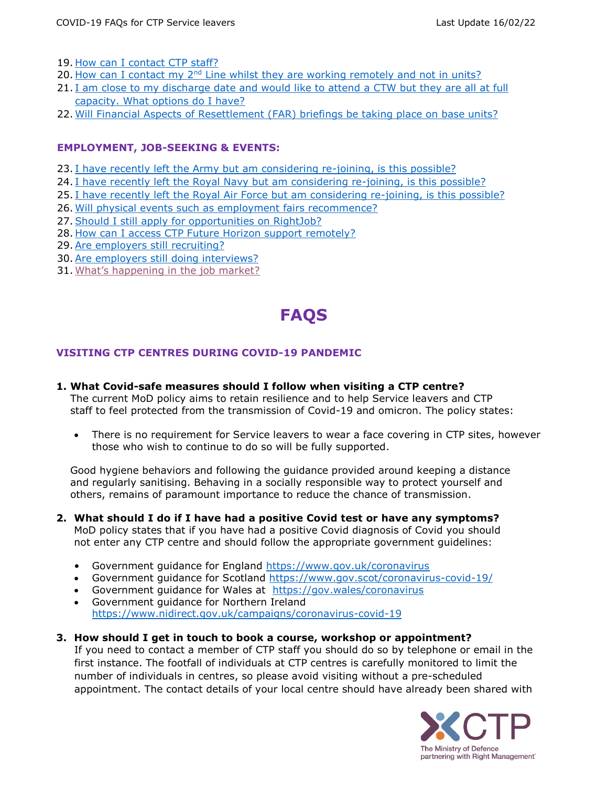- 19. [How can I contact CTP staff?](#page-4-4)
- 20. How can I contact my  $2<sup>nd</sup>$  [Line whilst they are working remotely and not in units?](#page-4-5)
- 21. [I am close to my discharge date and would like to attend](#page-4-6) a CTW but they are all at full [capacity. What options do I have?](#page-4-6)
- 22. [Will Financial Aspects of Resettlement \(FAR\)](#page-4-7) briefings be taking place on base units?

## **EMPLOYMENT, JOB-SEEKING & EVENTS:**

- 23. [I have recently left the Army but am considering re-joining, is this possible?](#page-4-8)
- 24. [I have recently left the Royal Navy but am considering re-joining, is this possible?](#page-4-9)
- 25. [I have recently left the Royal Air Force but am considering re-joining, is this possible?](#page-5-0)
- 26. [Will physical events such as employment fairs recommence?](#page-5-1)
- 27. Should I still apply for opportunities on RightJob?
- 28. [How can I access CTP Future Horizon support remotely?](#page-5-3)
- 29. Are employers still recruiting?
- 30[.Are employers still doing interviews?](#page-6-0)
- 31. [What's happening in the job market?](#page-6-1)

# **FAQS**

## **VISITING CTP CENTRES DURING COVID-19 PANDEMIC**

<span id="page-1-0"></span>**1. What Covid-safe measures should I follow when visiting a CTP centre?**

The current MoD policy aims to retain resilience and to help Service leavers and CTP staff to feel protected from the transmission of Covid-19 and omicron. The policy states:

 There is no requirement for Service leavers to wear a face covering in CTP sites, however those who wish to continue to do so will be fully supported.

Good hygiene behaviors and following the guidance provided around keeping a distance and regularly sanitising. Behaving in a socially responsible way to protect yourself and others, remains of paramount importance to reduce the chance of transmission.

- **2. What should I do if I have had a positive Covid test or have any symptoms?** MoD policy states that if you have had a positive Covid diagnosis of Covid you should not enter any CTP centre and should follow the appropriate government guidelines:
	- Government guidance for England<https://www.gov.uk/coronavirus>
	- Government guidance for Scotland<https://www.gov.scot/coronavirus-covid-19/>
	- Government guidance for Wales at <https://gov.wales/coronavirus>
	- Government guidance for Northern Ireland <https://www.nidirect.gov.uk/campaigns/coronavirus-covid-19>
- **3. How should I get in touch to book a course, workshop or appointment?** If you need to contact a member of CTP staff you should do so by telephone or email in the first instance. The footfall of individuals at CTP centres is carefully monitored to limit the number of individuals in centres, so please avoid visiting without a pre-scheduled appointment. The contact details of your local centre should have already been shared with

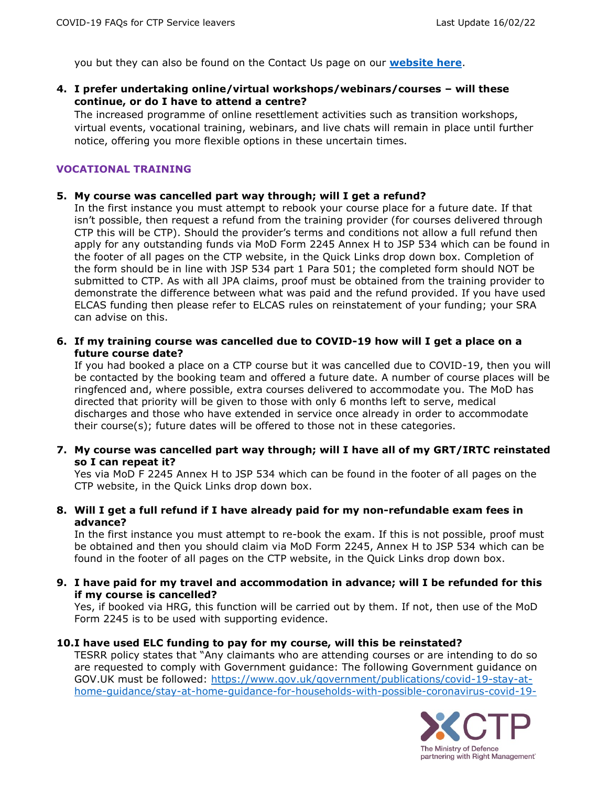you but they can also be found on the Contact Us page on our **[website here](https://www.ctp.org.uk/contact-us)**.

<span id="page-2-0"></span>**4. I prefer undertaking online/virtual workshops/webinars/courses – will these continue, or do I have to attend a centre?**

The increased programme of online resettlement activities such as transition workshops, virtual events, vocational training, webinars, and live chats will remain in place until further notice, offering you more flexible options in these uncertain times.

## **VOCATIONAL TRAINING**

### <span id="page-2-1"></span>**5. My course was cancelled part way through; will I get a refund?**

In the first instance you must attempt to rebook your course place for a future date. If that isn't possible, then request a refund from the training provider (for courses delivered through CTP this will be CTP). Should the provider's terms and conditions not allow a full refund then apply for any outstanding funds via MoD Form 2245 Annex H to JSP 534 which can be found in the footer of all pages on the CTP website, in the Quick Links drop down box. Completion of the form should be in line with JSP 534 part 1 Para 501; the completed form should NOT be submitted to CTP. As with all JPA claims, proof must be obtained from the training provider to demonstrate the difference between what was paid and the refund provided. If you have used ELCAS funding then please refer to ELCAS rules on reinstatement of your funding; your SRA can advise on this.

<span id="page-2-2"></span>**6. If my training course was cancelled due to COVID-19 how will I get a place on a future course date?**

If you had booked a place on a CTP course but it was cancelled due to COVID-19, then you will be contacted by the booking team and offered a future date. A number of course places will be ringfenced and, where possible, extra courses delivered to accommodate you. The MoD has directed that priority will be given to those with only 6 months left to serve, medical discharges and those who have extended in service once already in order to accommodate their course(s); future dates will be offered to those not in these categories.

<span id="page-2-3"></span>**7. My course was cancelled part way through; will I have all of my GRT/IRTC reinstated so I can repeat it?**

Yes via MoD F 2245 Annex H to JSP 534 which can be found in the footer of all pages on the CTP website, in the Quick Links drop down box.

<span id="page-2-4"></span>**8. Will I get a full refund if I have already paid for my non-refundable exam fees in advance?**

In the first instance you must attempt to re-book the exam. If this is not possible, proof must be obtained and then you should claim via MoD Form 2245, Annex H to JSP 534 which can be found in the footer of all pages on the CTP website, in the Quick Links drop down box.

<span id="page-2-5"></span>**9. I have paid for my travel and accommodation in advance; will I be refunded for this if my course is cancelled?**

Yes, if booked via HRG, this function will be carried out by them. If not, then use of the MoD Form 2245 is to be used with supporting evidence.

#### <span id="page-2-6"></span>**10.I have used ELC funding to pay for my course, will this be reinstated?**

TESRR policy states that "Any claimants who are attending courses or are intending to do so are requested to comply with Government guidance: The following Government guidance on GOV.UK must be followed: [https://www.gov.uk/government/publications/covid-19-stay-at](https://www.gov.uk/government/publications/covid-19-stay-at-home-guidance/stay-at-home-guidance-for-households-with-possible-coronavirus-covid-19-infection)[home-guidance/stay-at-home-guidance-for-households-with-possible-coronavirus-covid-19-](https://www.gov.uk/government/publications/covid-19-stay-at-home-guidance/stay-at-home-guidance-for-households-with-possible-coronavirus-covid-19-infection)

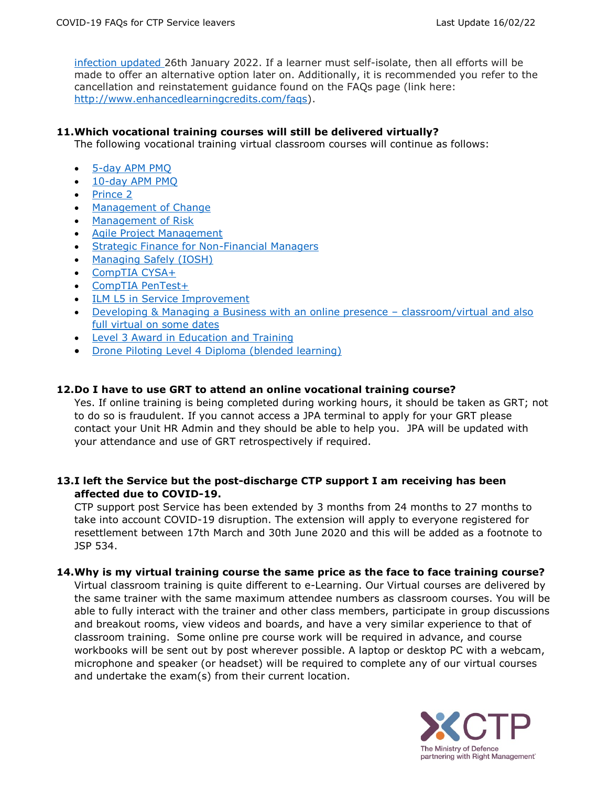[infection](https://www.gov.uk/government/publications/covid-19-stay-at-home-guidance/stay-at-home-guidance-for-households-with-possible-coronavirus-covid-19-infection) updated 26th January 2022. If a learner must self-isolate, then all efforts will be made to offer an alternative option later on. Additionally, it is recommended you refer to the cancellation and reinstatement guidance found on the FAQs page (link here: [http://www.enhancedlearningcredits.com/faqs\)](http://www.enhancedlearningcredits.com/faqs).

## <span id="page-3-0"></span>**11.Which vocational training courses will still be delivered virtually?**

The following vocational training virtual classroom courses will continue as follows:

- 5-day [APM PMQ](https://www.ctp.org.uk/resettlement-training/find-a-course/details/5-day-apm-project-management-(pmq))
- 10-day [APM PMQ](https://www.ctp.org.uk/resettlement-training/find-a-course/details/5-day-apm-project-management-(pmq))
- [Prince 2](https://www.ctp.org.uk/resettlement-training/find-a-course/details/prince-2)
- [Management of Change](https://www.ctp.org.uk/resettlement-training/find-a-course/details/apmg-change-management)
- [Management of Risk](https://www.ctp.org.uk/resettlement-training/find-a-course/details/management-of-risk)
- [Agile Project Management](https://www.ctp.org.uk/resettlement-training/find-a-course/details/agile-project-management-foundation-and-practitioner-certificate)
- **[Strategic Finance for Non-Financial Managers](https://www.ctp.org.uk/resettlement-training/find-a-course/details/strategic-finance-for-non-financial-managers)**
- [Managing Safely \(IOSH\)](https://www.ctp.org.uk/resettlement-training/find-a-course/details/managing-safely-(iosh))
- [CompTIA CYSA+](https://www.ctp.org.uk/resettlement-training/find-a-course/details/comptia-cyber-security-analyst-(cysa-))
- [CompTIA PenTest+](https://www.ctp.org.uk/resettlement-training/find-a-course/details/comptia-pentest-)
- [ILM L5 in Service Improvement](https://www.ctp.org.uk/resettlement-training/find-a-course/details/level-5-certificate-in-service-improvement-(lean-six-sigma))
- [Developing & Managing a Business with an online presence](https://www.ctp.org.uk/resettlement-training/find-a-course/details/developing-managing-a-business-with-an-online-presence)  classroom/virtual and also [full virtual on some dates](https://www.ctp.org.uk/resettlement-training/find-a-course/details/developing-managing-a-business-with-an-online-presence)
- [Level 3 Award in Education and Training](https://www.ctp.org.uk/resettlement-training/find-a-course?indexCatalogue=product-search&searchQuery=Level%203%20Award%20in%20Education%20and%20Training&wordsMode=AllWords)
- [Drone Piloting Level 4 Diploma \(blended learning\)](https://www.ctp.org.uk/resettlement-training/find-a-course/details/drone-piloting-level-4-diploma)

## <span id="page-3-1"></span>**12.Do I have to use GRT to attend an online vocational training course?**

Yes. If online training is being completed during working hours, it should be taken as GRT; not to do so is fraudulent. If you cannot access a JPA terminal to apply for your GRT please contact your Unit HR Admin and they should be able to help you. JPA will be updated with your attendance and use of GRT retrospectively if required.

## <span id="page-3-2"></span>**13.I left the Service but the post-discharge CTP support I am receiving has been affected due to COVID-19.**

CTP support post Service has been extended by 3 months from 24 months to 27 months to take into account COVID-19 disruption. The extension will apply to everyone registered for resettlement between 17th March and 30th June 2020 and this will be added as a footnote to JSP 534.

## <span id="page-3-3"></span>**14.Why is my virtual training course the same price as the face to face training course?**

Virtual classroom training is quite different to e-Learning. Our Virtual courses are delivered by the same trainer with the same maximum attendee numbers as classroom courses. You will be able to fully interact with the trainer and other class members, participate in group discussions and breakout rooms, view videos and boards, and have a very similar experience to that of classroom training. Some online pre course work will be required in advance, and course workbooks will be sent out by post wherever possible. A laptop or desktop PC with a webcam, microphone and speaker (or headset) will be required to complete any of our virtual courses and undertake the exam(s) from their current location.

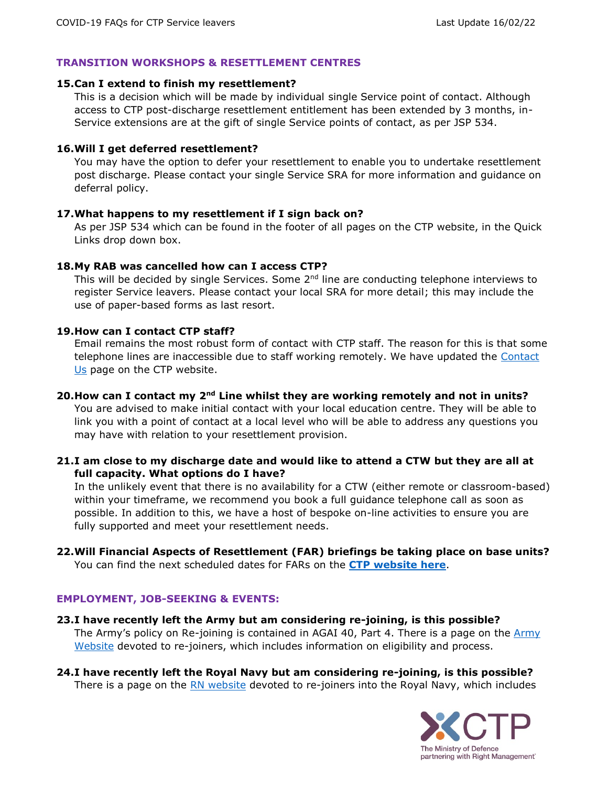#### **TRANSITION WORKSHOPS & RESETTLEMENT CENTRES**

#### <span id="page-4-0"></span>**15.Can I extend to finish my resettlement?**

This is a decision which will be made by individual single Service point of contact. Although access to CTP post-discharge resettlement entitlement has been extended by 3 months, in-Service extensions are at the gift of single Service points of contact, as per JSP 534.

#### <span id="page-4-1"></span>**16.Will I get deferred resettlement?**

You may have the option to defer your resettlement to enable you to undertake resettlement post discharge. Please contact your single Service SRA for more information and guidance on deferral policy.

#### <span id="page-4-2"></span>**17.What happens to my resettlement if I sign back on?**

As per JSP 534 which can be found in the footer of all pages on the CTP website, in the Quick Links drop down box.

#### <span id="page-4-3"></span>**18.My RAB was cancelled how can I access CTP?**

This will be decided by single Services. Some  $2<sup>nd</sup>$  line are conducting telephone interviews to register Service leavers. Please contact your local SRA for more detail; this may include the use of paper-based forms as last resort.

#### <span id="page-4-4"></span>**19.How can I contact CTP staff?**

Email remains the most robust form of contact with CTP staff. The reason for this is that some telephone lines are inaccessible due to staff working remotely. We have updated the [Contact](https://www.ctp.org.uk/contact-us)  [Us](https://www.ctp.org.uk/contact-us) page on the CTP website.

## <span id="page-4-5"></span>**20.How can I contact my 2nd Line whilst they are working remotely and not in units?** You are advised to make initial contact with your local education centre. They will be able to link you with a point of contact at a local level who will be able to address any questions you may have with relation to your resettlement provision.

<span id="page-4-6"></span>**21.I am close to my discharge date and would like to attend a CTW but they are all at full capacity. What options do I have?** 

In the unlikely event that there is no availability for a CTW (either remote or classroom-based) within your timeframe, we recommend you book a full guidance telephone call as soon as possible. In addition to this, we have a host of bespoke on-line activities to ensure you are fully supported and meet your resettlement needs.

#### <span id="page-4-7"></span>**22.Will Financial Aspects of Resettlement (FAR) briefings be taking place on base units?** You can find the next scheduled dates for FARs on the **[CTP website here](https://www.ctp.org.uk/resettlement-courses/follow-on-workshop/Financial+Aspects+of+Resettlement+-+All+Ranks/search)**.

#### **EMPLOYMENT, JOB-SEEKING & EVENTS:**

- <span id="page-4-8"></span>**23.I have recently left the Army but am considering re-joining, is this possible?** The Army's policy on Re-joining is contained in AGAI 40, Part 4. There is a page on the Army [Website](https://apply.army.mod.uk/how-to-join/entryoptions/regular-army-rejoiner) devoted to re-joiners, which includes information on eligibility and process.
- <span id="page-4-9"></span>**24.I have recently left the Royal Navy but am considering re-joining, is this possible?**  There is a page on the [RN website](https://www.royalnavy.mod.uk/careers/joining/re-joining) devoted to re-joiners into the Royal Navy, which includes

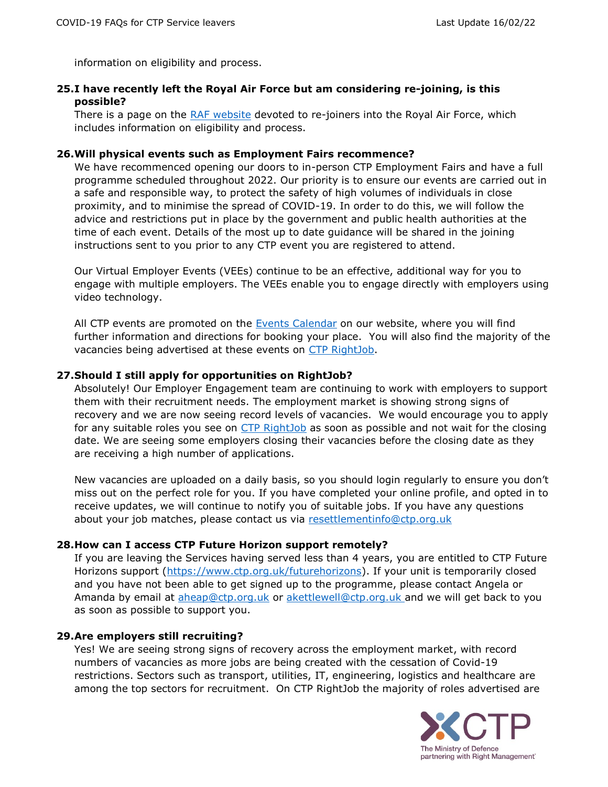information on eligibility and process.

## <span id="page-5-0"></span>**25.I have recently left the Royal Air Force but am considering re-joining, is this possible?**

There is a page on the [RAF website](https://www.raf.mod.uk/recruitment/how-to-apply/rejoiners-and-inter-service-transfer) devoted to re-joiners into the Royal Air Force, which includes information on eligibility and process.

#### <span id="page-5-1"></span>**26.Will physical events such as Employment Fairs recommence?**

We have recommenced opening our doors to in-person CTP Employment Fairs and have a full programme scheduled throughout 2022. Our priority is to ensure our events are carried out in a safe and responsible way, to protect the safety of high volumes of individuals in close proximity, and to minimise the spread of COVID-19. In order to do this, we will follow the advice and restrictions put in place by the government and public health authorities at the time of each event. Details of the most up to date guidance will be shared in the joining instructions sent to you prior to any CTP event you are registered to attend.

Our Virtual Employer Events (VEEs) continue to be an effective, additional way for you to engage with multiple employers. The VEEs enable you to engage directly with employers using video technology.

All CTP events are promoted on the [Events Calendar](https://www.ctp.org.uk/events)) on our website, where you will find further information and directions for booking your place. You will also find the majority of the vacancies being advertised at these events on [CTP RightJob.](https://www.ctp.org.uk/my-plan/login)

#### <span id="page-5-2"></span>**27.Should I still apply for opportunities on RightJob?**

Absolutely! Our Employer Engagement team are continuing to work with employers to support them with their recruitment needs. The employment market is showing strong signs of recovery and we are now seeing record levels of vacancies. We would encourage you to apply for any suitable roles you see on [CTP RightJob](https://www.ctp.org.uk/my-plan/login) as soon as possible and not wait for the closing date. We are seeing some employers closing their vacancies before the closing date as they are receiving a high number of applications.

New vacancies are uploaded on a daily basis, so you should login regularly to ensure you don't miss out on the perfect role for you. If you have completed your online profile, and opted in to receive updates, we will continue to notify you of suitable jobs. If you have any questions about your job matches, please contact us via [resettlementinfo@ctp.org.uk](mailto:resettlementinfo@ctp.org.uk)

#### <span id="page-5-3"></span>**28.How can I access CTP Future Horizon support remotely?**

If you are leaving the Services having served less than 4 years, you are entitled to CTP Future Horizons support [\(https://www.ctp.org.uk/futurehorizons\)](https://www.ctp.org.uk/futurehorizons). If your unit is temporarily closed and you have not been able to get signed up to the programme, please contact Angela or Amanda by email at [aheap@ctp.org.uk](mailto:aheap@ctp.org.uk) or [akettlewell@ctp.org.uk](mailto:akettlewell@ctp.org.uk) and we will get back to you as soon as possible to support you.

#### <span id="page-5-4"></span>**29.Are employers still recruiting?**

Yes! We are seeing strong signs of recovery across the employment market, with record numbers of vacancies as more jobs are being created with the cessation of Covid-19 restrictions. Sectors such as transport, utilities, IT, engineering, logistics and healthcare are among the top sectors for recruitment. On CTP RightJob the majority of roles advertised are